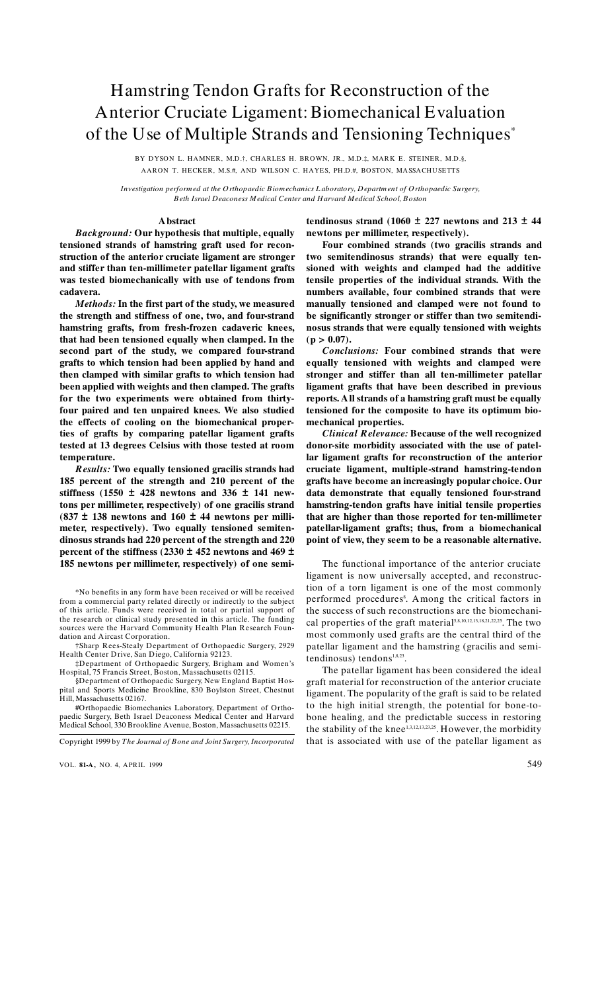# Hamstring Tendon Grafts for Reconstruction of the Anterior Cruciate Ligament: Biomechanical Evaluation of the Use of Multiple Strands and Tensioning Techniques\*

BY DYSON L. HAMNER, M.D.†, CHARLES H. BROWN, JR., M.D.‡, MARK E. STEINER, M.D.§, AARON T. HECKER, M.S.#, AND WILSON C. HAYES, PH.D.#, BOSTON, MASSACHUSETTS

Investigation performed at the Orthopaedic Biomechanics Laboratory, Department of Orthopaedic Surgery, Beth Israel Deaconess Medical Center and Harvard Medical School, Boston

## A bstract

**Background: Our hypothesis that multiple, equally** tensioned strands of hamstring graft used for reconstruction of the anterior cruciate ligament are stronger and stiffer than ten-millimeter patellar ligament grafts was tested biomechanically with use of tendons from cadavera.

Methods: In the first part of the study, we measured the strength and stiffness of one, two, and four-strand hamstring grafts, from fresh-frozen cadaveric knees, that had been tensioned equally when clamped. In the second part of the study, we compared four-strand grafts to which tension had been applied by hand and then clamped with similar grafts to which tension had been applied with weights and then clamped. The grafts for the two experiments were obtained from thirtyfour paired and ten unpaired knees. We also studied the effects of cooling on the biomechanical properties of grafts by comparing patellar ligament grafts tested at 13 degrees Celsius with those tested at room temperature.

Results: Two equally tensioned gracilis strands had 185 percent of the strength and 210 percent of the stiffness (1550  $\pm$  428 newtons and 336  $\pm$  141 newtons per millimeter, respectively) of one gracilis strand  $(837 \pm 138$  newtons and  $160 \pm 44$  newtons per millimeter, respectively). Two equally tensioned semitendinosus strands had 220 percent of the strength and 220 percent of the stiffness (2330  $\pm$  452 newtons and 469  $\pm$ 185 newtons per millimeter, respectively) of one semi-

§Department of Orthopaedic Surgery, New England Baptist Hospital and Sports Medicine Brookline, 830 Boylston Street, Chestnut Hill, Massachusetts 02167.

#Orthopaedic Biomechanics Laboratory, Department of Orthopaedic Surgery, Beth Israel Deaconess Medical Center and Harvard Medical School, 330 Brookline Avenue, Boston, Massachusetts 02215.

Copyright 1999 by The Journal of Bone and Joint Surgery, Incorporated

VOL. 81-A, NO. 4. APRIL 1999

tendinosus strand (1060  $\pm$  227 newtons and 213  $\pm$  44 newtons per millimeter, respectively).

Four combined strands (two gracilis strands and two semitendinosus strands) that were equally tensioned with weights and clamped had the additive tensile properties of the individual strands. With the numbers available, four combined strands that were manually tensioned and clamped were not found to be significantly stronger or stiffer than two semitendinosus strands that were equally tensioned with weights  $(p > 0.07)$ .

Conclusions: Four combined strands that were equally tensioned with weights and clamped were stronger and stiffer than all ten-millimeter patellar ligament grafts that have been described in previous reports. All strands of a hamstring graft must be equally tensioned for the composite to have its optimum biomechanical properties.

**Clinical Relevance: Because of the well recognized** donor-site morbidity associated with the use of patellar ligament grafts for reconstruction of the anterior cruciate ligament, multiple-strand hamstring-tendon grafts have become an increasingly popular choice. Our data demonstrate that equally tensioned four-strand hamstring-tendon grafts have initial tensile properties that are higher than those reported for ten-millimeter patellar-ligament grafts; thus, from a biomechanical point of view, they seem to be a reasonable alternative.

The functional importance of the anterior cruciate ligament is now universally accepted, and reconstruction of a torn ligament is one of the most commonly performed procedures<sup>8</sup>. Among the critical factors in the success of such reconstructions are the biomechanical properties of the graft material<sup>5,8,10,12,13,18,21,22,25</sup>. The two most commonly used grafts are the central third of the patellar ligament and the hamstring (gracilis and semitendinosus) tendons<sup>1,8,23</sup>.

The patellar ligament has been considered the ideal graft material for reconstruction of the anterior cruciate ligament. The popularity of the graft is said to be related to the high initial strength, the potential for bone-tobone healing, and the predictable success in restoring the stability of the knee<sup>1,3,12,13,23,25</sup>. However, the morbidity that is associated with use of the patellar ligament as

<sup>\*</sup>No benefits in any form have been received or will be received from a commercial party related directly or indirectly to the subject of this article. Funds were received in total or partial support of the research or clinical study presented in this article. The funding sources were the Harvard Community Health Plan Research Foundation and Aircast Corporation.

<sup>†</sup>Sharp Rees-Stealy Department of Orthopaedic Surgery, 2929 Health Center Drive, San Diego, California 92123.

<sup>&</sup>lt;sup>1</sup> Department of Orthopaedic Surgery, Brigham and Women's<br>Hospital, 75 Francis Street, Boston, Massachusetts 02115.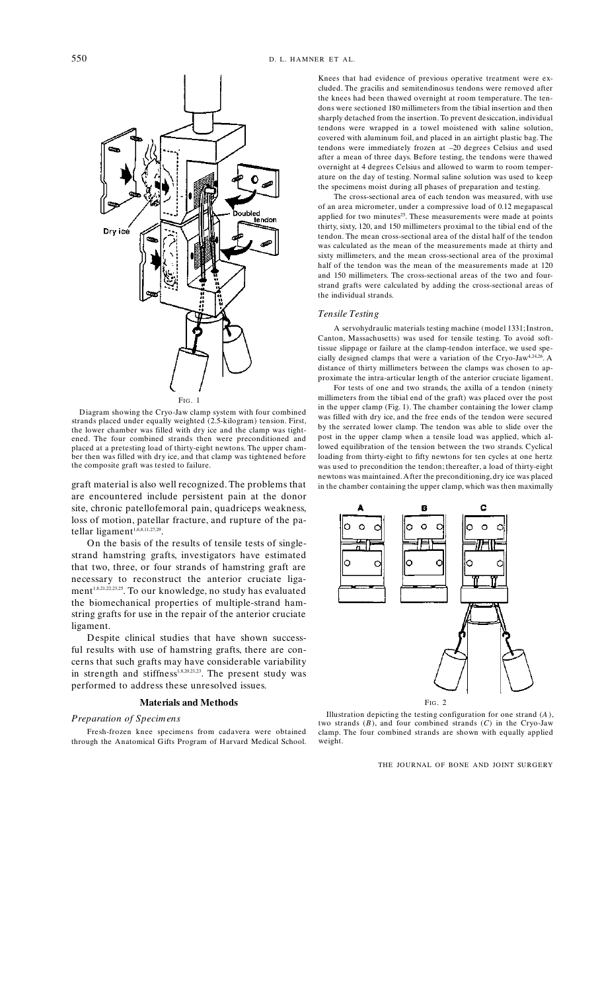

Diagram showing the Cryo-Jaw clamp system with four combined<br>strands placed under equally weighted (2.5-kilogram) tension. First, the lower chamber was filled with dry ice and the clamp was tightened. The four combined strands then were preconditioned and placed at a pretesting load of thirty-eight newtons. The upper chamber then was filled with dry ice, and that clamp was tightened before the composite graft was tested to failure.

graft material is also well recognized. The problems that are encountered include persistent pain at the donor site, chronic patellofemoral pain, quadriceps weakness, loss of motion, patellar fracture, and rupture of the patellar ligament<sup>1,6,8,11,27,29</sup>.

On the basis of the results of tensile tests of singlestrand hamstring grafts, investigators have estimated that two, three, or four strands of hamstring graft are necessary to reconstruct the anterior cruciate ligament<sup>1,8,21,22,31,25</sup>. To our knowledge, no study has evaluated the biomechanical properties of multiple-strand hamstring grafts for use in the repair of the anterior cruciate ligament.

Despite clinical studies that have shown successful results with use of hamstring grafts, there are concerns that such grafts may have considerable variability in strength and stiffness<sup>1,8,20,21,23</sup>. The present study was performed to address these unresolved issues.

## **Materials and Methods**

## Preparation of Specimens

Fresh-frozen knee specimens from cadavera were obtained through the Anatomical Gifts Program of Harvard Medical School.

Knees that had evidence of previous operative treatment were excluded. The gracilis and semitendinosus tendons were removed after the knees had been thawed overnight at room temperature. The tendons were sectioned 180 millimeters from the tibial insertion and then sharply detached from the insertion. To prevent desiccation, individual tendons were wrapped in a towel moistened with saline solution, covered with aluminum foil, and placed in an airtight plastic bag. The tendons were immediately frozen at -20 degrees Celsius and used after a mean of three days. Before testing, the tendons were thawed overnight at 4 degrees Celsius and allowed to warm to room temperature on the day of testing. Normal saline solution was used to keep the specimens moist during all phases of preparation and testing.

The cross-sectional area of each tendon was measured, with use of an area micrometer, under a compressive load of 0.12 megapascal applied for two minutes<sup>25</sup>. These measurements were made at points thirty, sixty, 120, and 150 millimeters proximal to the tibial end of the tendon. The mean cross-sectional area of the distal half of the tendon was calculated as the mean of the measurements made at thirty and sixty millimeters, and the mean cross-sectional area of the proximal half of the tendon was the mean of the measurements made at 120 and 150 millimeters. The cross-sectional areas of the two and fourstrand grafts were calculated by adding the cross-sectional areas of the individual strands.

#### **Tensile Testing**

A servohydraulic materials testing machine (model 1331; Instron, Canton, Massachusetts) was used for tensile testing. To avoid softtissue slippage or failure at the clamp-tendon interface, we used specially designed clamps that were a variation of the Cryo-Jaw<sup>4,24,26</sup>. A distance of thirty millimeters between the clamps was chosen to approximate the intra-articular length of the anterior cruciate ligament.

For tests of one and two strands, the axilla of a tendon (ninety millimeters from the tibial end of the graft) was placed over the post in the upper clamp (Fig. 1). The chamber containing the lower clamp was filled with dry ice, and the free ends of the tendon were secured by the serrated lower clamp. The tendon was able to slide over the post in the upper clamp when a tensile load was applied, which allowed equilibration of the tension between the two strands. Cyclical loading from thirty-eight to fifty newtons for ten cycles at one hertz was used to precondition the tendon; thereafter, a load of thirty-eight newtons was maintained. After the preconditioning, dry ice was placed in the chamber containing the upper clamp, which was then maximally



Illustration depicting the testing configuration for one strand  $(A)$ , two strands  $(B)$ , and four combined strands  $(C)$  in the Cryo-Jaw clamp. The four combined strands are shown with equally applied weight.

THE JOURNAL OF BONE AND JOINT SURGERY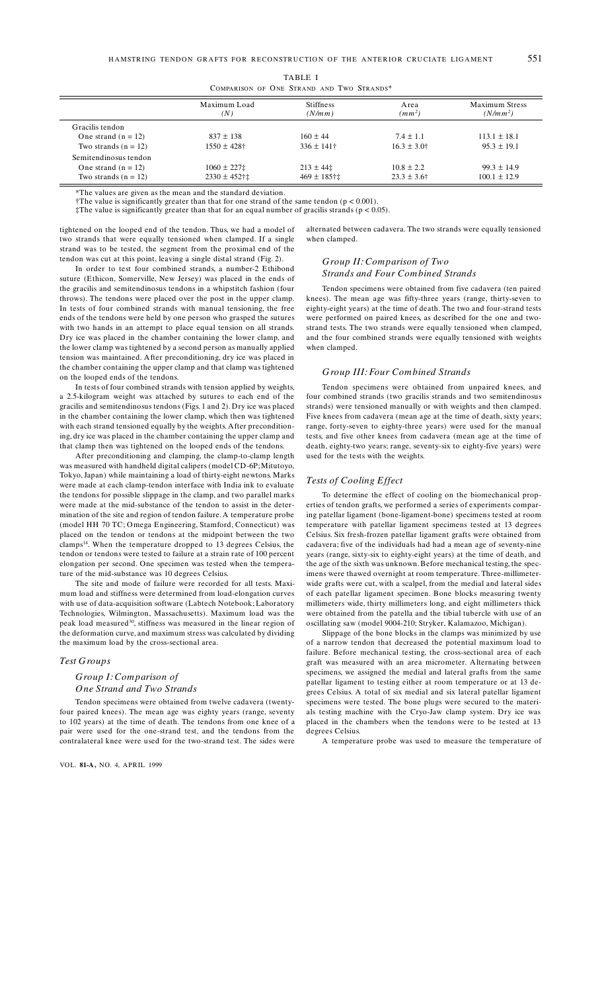| TABLE I                                   |  |  |  |  |  |  |
|-------------------------------------------|--|--|--|--|--|--|
| COMPARISON OF ONE STRAND AND TWO STRANDS* |  |  |  |  |  |  |

|                        | Maximum Load<br>(N) | <b>Stiffness</b><br>(N/mm) | Area<br>$(mm^2)$ | <b>Maximum Stress</b><br>$(N/mm^2)$ |  |
|------------------------|---------------------|----------------------------|------------------|-------------------------------------|--|
| Gracilis tendon        |                     |                            |                  |                                     |  |
| One strand $(n = 12)$  | $837 \pm 138$       | $160 \pm 44$               | $7.4 \pm 1.1$    | $113.1 \pm 18.1$                    |  |
| Two strands $(n = 12)$ | $1550 \pm 428$ †    | $336 \pm 141$ †            | $16.3 \pm 3.0^+$ | $95.3 \pm 19.1$                     |  |
| Semitendinosus tendon  |                     |                            |                  |                                     |  |
| One strand $(n = 12)$  | $1060 \pm 227$ :    | $213 \pm 44$               | $10.8 \pm 2.2$   | $99.3 \pm 14.9$                     |  |
| Two strands $(n = 12)$ | $2330 \pm 452$ †‡   | $469 \pm 185$ †‡           | $23.3 \pm 3.6$ † | $100.1 \pm 12.9$                    |  |

\*The values are given as the mean and the standard deviation.

†The value is significantly greater than that for one strand of the same tendon ( $p < 0.001$ )

 $\ddagger$ The value is significantly greater than that for an equal number of gracilis strands ( $p < 0.05$ ).

tightened on the looped end of the tendon. Thus, we had a model of two strands that were equally tensioned when clamped. If a single strand was to be tested, the segment from the proximal end of the tendon was cut at this point, leaving a single distal strand (Fig. 2).

In order to test four combined strands, a number-2 Ethibond suture (Ethicon, Somerville, New Jersey) was placed in the ends of the gracilis and semitendinosus tendons in a whipstitch fashion (four throws). The tendons were placed over the post in the upper clamp. In tests of four combined strands with manual tensioning, the free ends of the tendons were held by one person who grasped the sutures with two hands in an attempt to place equal tension on all strands. Dry ice was placed in the chamber containing the lower clamp, and the lower clamp was tightened by a second person as manually applied tension was maintained. After preconditioning, dry ice was placed in the chamber containing the upper clamp and that clamp was tightened on the looped ends of the tendons.

In tests of four combined strands with tension applied by weights, a 2.5-kilogram weight was attached by sutures to each end of the gracilis and semitendinosus tendons (Figs. 1 and 2). Dry ice was placed in the chamber containing the lower clamp, which then was tightened with each strand tensioned equally by the weights. After preconditioning, dry ice was placed in the chamber containing the upper clamp and that clamp then was tightened on the looped ends of the tendons.

After preconditioning and clamping, the clamp-to-clamp length was measured with handheld digital calipers (model CD-6P; Mitutoyo, Tokyo, Japan) while maintaining a load of thirty-eight newtons. Marks were made at each clamp-tendon interface with India ink to evaluate the tendons for possible slippage in the clamp, and two parallel marks were made at the mid-substance of the tendon to assist in the determination of the site and region of tendon failure. A temperature probe (model HH 70 TC; Omega Engineering, Stamford, Connecticut) was placed on the tendon or tendons at the midpoint between the two clamps<sup>14</sup>. When the temperature dropped to 13 degrees Celsius, the tendon or tendons were tested to failure at a strain rate of 100 percent elongation per second. One specimen was tested when the temperature of the mid-substance was 10 degrees Celsius.

The site and mode of failure were recorded for all tests. Maximum load and stiffness were determined from load-elongation curves with use of data-acquisition software (Labtech Notebook; Laboratory Technologies, Wilmington, Massachusetts). Maximum load was the peak load measured<sup>30</sup>, stiffness was measured in the linear region of the deformation curve, and maximum stress was calculated by dividing the maximum load by the cross-sectional area.

## **Test Groups**

## Group I: Comparison of One Strand and Two Strands

Tendon specimens were obtained from twelve cadavera (twentyfour paired knees). The mean age was eighty years (range, seventy to 102 years) at the time of death. The tendons from one knee of a pair were used for the one-strand test, and the tendons from the contralateral knee were used for the two-strand test. The sides were

VOL. 81-A, NO. 4, APRIL 1999

alternated between cadavera. The two strands were equally tensioned when clamped.

## Group II: Comparison of Two **Strands and Four Combined Strands**

Tendon specimens were obtained from five cadavera (ten paired knees). The mean age was fifty-three years (range, thirty-seven to eighty-eight years) at the time of death. The two and four-strand tests were performed on paired knees, as described for the one and twostrand tests. The two strands were equally tensioned when clamped, and the four combined strands were equally tensioned with weights when clamped.

#### Group III: Four Combined Strands

Tendon specimens were obtained from unpaired knees, and four combined strands (two gracilis strands and two semitendinosus strands) were tensioned manually or with weights and then clamped. Five knees from cadavera (mean age at the time of death, sixty years; range, forty-seven to eighty-three years) were used for the manual tests, and five other knees from cadavera (mean age at the time of death, eighty-two years; range, seventy-six to eighty-five years) were used for the tests with the weights.

#### Tests of Cooling Effect

To determine the effect of cooling on the biomechanical properties of tendon grafts, we performed a series of experiments comparing patellar ligament (bone-ligament-bone) specimens tested at room temperature with patellar ligament specimens tested at 13 degrees Celsius. Six fresh-frozen patellar ligament grafts were obtained from cadavera; five of the individuals had had a mean age of seventy-nine years (range, sixty-six to eighty-eight years) at the time of death, and the age of the sixth was unknown. Before mechanical testing, the specimens were thawed overnight at room temperature. Three-millimeterwide grafts were cut, with a scalpel, from the medial and lateral sides of each patellar ligament specimen. Bone blocks measuring twenty millimeters wide, thirty millimeters long, and eight millimeters thick were obtained from the patella and the tibial tubercle with use of an oscillating saw (model 9004-210; Stryker, Kalamazoo, Michigan).

Slippage of the bone blocks in the clamps was minimized by use of a narrow tendon that decreased the potential maximum load to failure. Before mechanical testing, the cross-sectional area of each graft was measured with an area micrometer. Alternating between specimens, we assigned the medial and lateral grafts from the same patellar ligament to testing either at room temperature or at 13 degrees Celsius. A total of six medial and six lateral patellar ligament specimens were tested. The bone plugs were secured to the materials testing machine with the Cryo-Jaw clamp system. Dry ice was placed in the chambers when the tendons were to be tested at 13 degrees Celsius.

A temperature probe was used to measure the temperature of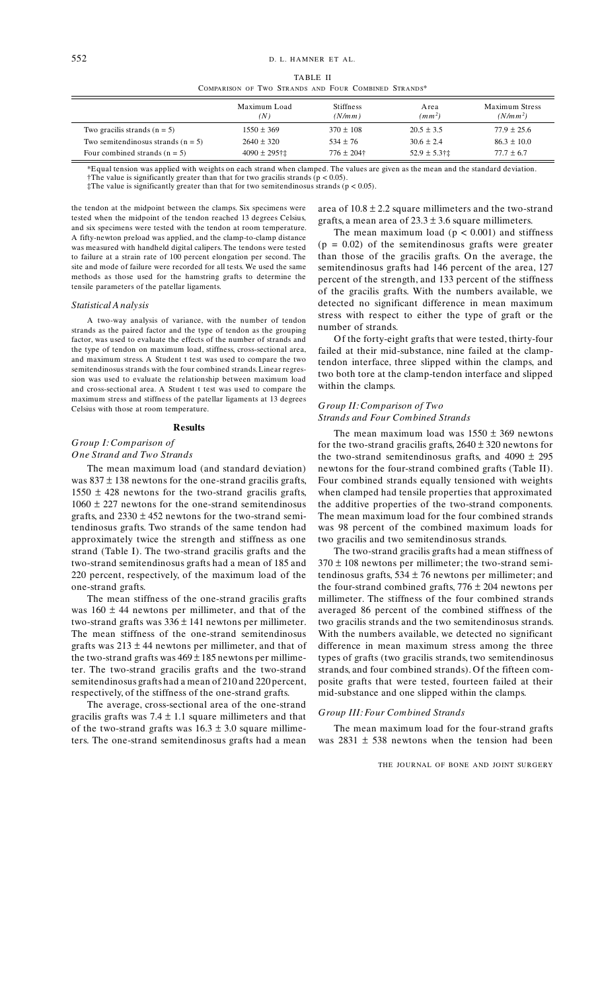TABLE II

COMPARISON OF TWO STRANDS AND FOUR COMBINED STRANDS\*

|                                      | Maximum Load<br>(N) | <b>Stiffness</b><br>(N/mm) | A rea<br>(mm <sup>2</sup> ) | <b>Maximum Stress</b><br>$(N/mm^2)$ |
|--------------------------------------|---------------------|----------------------------|-----------------------------|-------------------------------------|
| Two gracilis strands $(n = 5)$       | $1550 \pm 369$      | $370 \pm 108$              | $20.5 \pm 3.5$              | $77.9 \pm 25.6$                     |
| Two semitendinosus strands $(n = 5)$ | $2640 \pm 320$      | $534 \pm 76$               | $30.6 \pm 2.4$              | $86.3 \pm 10.0$                     |
| Four combined strands $(n = 5)$      | $4090 \pm 295$ †±   | $776 \pm 204$ †            | $52.9 \pm 5.3$ †‡           | $77.7 \pm 6.7$                      |

\*Equal tension was applied with weights on each strand when clamped. The values are given as the mean and the standard deviation. †The value is significantly greater than that for two gracilis strands ( $p < 0.05$ ).

 $\ddagger$ The value is significantly greater than that for two semitendinosus strands (p < 0.05).

the tendon at the midpoint between the clamps. Six specimens were tested when the midpoint of the tendon reached 13 degrees Celsius, and six specimens were tested with the tendon at room temperature. A fifty-newton preload was applied, and the clamp-to-clamp distance was measured with handheld digital calipers. The tendons were tested to failure at a strain rate of 100 percent elongation per second. The site and mode of failure were recorded for all tests. We used the same methods as those used for the hamstring grafts to determine the tensile parameters of the patellar ligaments.

#### Statistical A nalysis

A two-way analysis of variance, with the number of tendon strands as the paired factor and the type of tendon as the grouping factor, was used to evaluate the effects of the number of strands and the type of tendon on maximum load, stiffness, cross-sectional area, and maximum stress. A Student t test was used to compare the two semitendinosus strands with the four combined strands. Linear regression was used to evaluate the relationship between maximum load and cross-sectional area. A Student t test was used to compare the maximum stress and stiffness of the patellar ligaments at 13 degrees Celsius with those at room temperature.

## **Results**

## Group I: Comparison of

## **One Strand and Two Strands**

The mean maximum load (and standard deviation) was  $837 \pm 138$  newtons for the one-strand gracilis grafts, 1550  $\pm$  428 newtons for the two-strand gracilis grafts,  $1060 \pm 227$  newtons for the one-strand semitendinosus grafts, and  $2330 \pm 452$  newtons for the two-strand semitendinosus grafts. Two strands of the same tendon had approximately twice the strength and stiffness as one strand (Table I). The two-strand gracilis grafts and the two-strand semitendinosus grafts had a mean of 185 and 220 percent, respectively, of the maximum load of the one-strand grafts.

The mean stiffness of the one-strand gracilis grafts was  $160 \pm 44$  newtons per millimeter, and that of the two-strand grafts was  $336 \pm 141$  newtons per millimeter. The mean stiffness of the one-strand semitendinosus grafts was  $213 \pm 44$  newtons per millimeter, and that of the two-strand grafts was  $469 \pm 185$  newtons per millimeter. The two-strand gracilis grafts and the two-strand semitendinosus grafts had a mean of 210 and 220 percent, respectively, of the stiffness of the one-strand grafts.

The average, cross-sectional area of the one-strand gracilis grafts was  $7.4 \pm 1.1$  square millimeters and that of the two-strand grafts was  $16.3 \pm 3.0$  square millimeters. The one-strand semitendinosus grafts had a mean area of  $10.8 \pm 2.2$  square millimeters and the two-strand grafts, a mean area of  $23.3 \pm 3.6$  square millimeters.

The mean maximum load ( $p < 0.001$ ) and stiffness  $(p = 0.02)$  of the semitendinosus grafts were greater than those of the gracilis grafts. On the average, the semitendinosus grafts had 146 percent of the area, 127 percent of the strength, and 133 percent of the stiffness of the gracilis grafts. With the numbers available, we detected no significant difference in mean maximum stress with respect to either the type of graft or the number of strands.

Of the forty-eight grafts that were tested, thirty-four failed at their mid-substance, nine failed at the clamptendon interface, three slipped within the clamps, and two both tore at the clamp-tendon interface and slipped within the clamps.

## Group II: Comparison of Two **Strands and Four Combined Strands**

The mean maximum load was  $1550 \pm 369$  newtons for the two-strand gracilis grafts,  $2640 \pm 320$  newtons for the two-strand semitendinosus grafts, and  $4090 \pm 295$ newtons for the four-strand combined grafts (Table II). Four combined strands equally tensioned with weights when clamped had tensile properties that approximated the additive properties of the two-strand components. The mean maximum load for the four combined strands was 98 percent of the combined maximum loads for two gracilis and two semitendinosus strands.

The two-strand gracilis grafts had a mean stiffness of  $370 \pm 108$  newtons per millimeter; the two-strand semitendinosus grafts,  $534 \pm 76$  newtons per millimeter; and the four-strand combined grafts,  $776 \pm 204$  newtons per millimeter. The stiffness of the four combined strands averaged 86 percent of the combined stiffness of the two gracilis strands and the two semitendinosus strands. With the numbers available, we detected no significant difference in mean maximum stress among the three types of grafts (two gracilis strands, two semitendinosus strands, and four combined strands). Of the fifteen composite grafts that were tested, fourteen failed at their mid-substance and one slipped within the clamps.

## **Group III: Four Combined Strands**

The mean maximum load for the four-strand grafts was  $2831 \pm 538$  newtons when the tension had been

THE JOURNAL OF BONE AND JOINT SURGERY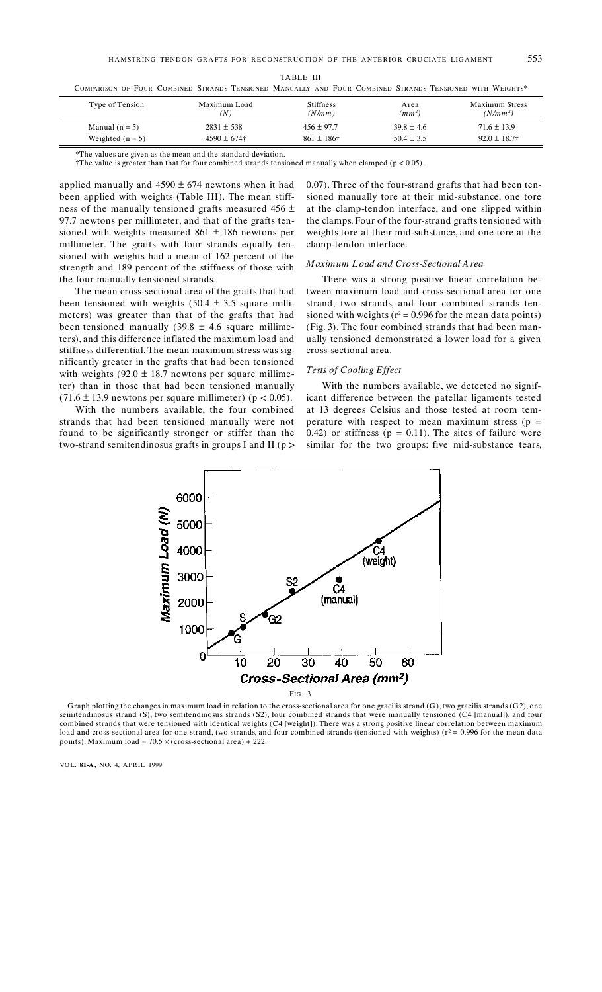| ٦ |  |
|---|--|
|---|--|

COMPARISON OF FOUR COMBINED STRANDS TENSIONED MANUALLY AND FOUR COMBINED STRANDS TENSIONED WITH WEIGHTS\*

| Type of Tension    | Maximum Load<br>(N ) | <b>Stiffness</b><br>(N/mm) | Area<br>$(mm^2)$ | Maximum Stress<br>$(N/mm^2)$ |
|--------------------|----------------------|----------------------------|------------------|------------------------------|
| Manual $(n = 5)$   | $2831 \pm 538$       | $456 \pm 97.7$             | $39.8 \pm 4.6$   | $71.6 \pm 13.9$              |
| Weighted $(n = 5)$ | $4590 \pm 674$       | $861 \pm 186$ †            | $50.4 \pm 3.5$   | $92.0 \pm 18.7$              |

\*The values are given as the mean and the standard deviation.

†The value is greater than that for four combined strands tensioned manually when clamped ( $p < 0.05$ ).

applied manually and  $4590 \pm 674$  newtons when it had been applied with weights (Table III). The mean stiffness of the manually tensioned grafts measured  $456 \pm$ 97.7 newtons per millimeter, and that of the grafts tensioned with weights measured  $861 \pm 186$  newtons per millimeter. The grafts with four strands equally tensioned with weights had a mean of 162 percent of the strength and 189 percent of the stiffness of those with the four manually tensioned strands.

The mean cross-sectional area of the grafts that had been tensioned with weights  $(50.4 \pm 3.5 \text{ square milli-}$ meters) was greater than that of the grafts that had been tensioned manually  $(39.8 \pm 4.6 \text{ square} \text{ millime}$ ters), and this difference inflated the maximum load and stiffness differential. The mean maximum stress was significantly greater in the grafts that had been tensioned with weights  $(92.0 \pm 18.7)$  newtons per square millimeter) than in those that had been tensioned manually  $(71.6 \pm 13.9$  newtons per square millimeter) ( $p < 0.05$ ).

With the numbers available, the four combined strands that had been tensioned manually were not found to be significantly stronger or stiffer than the two-strand semitendinosus grafts in groups I and II ( $p$  > 0.07). Three of the four-strand grafts that had been tensioned manually tore at their mid-substance, one tore at the clamp-tendon interface, and one slipped within the clamps. Four of the four-strand grafts tensioned with weights tore at their mid-substance, and one tore at the clamp-tendon interface.

## Maximum Load and Cross-Sectional A rea

There was a strong positive linear correlation between maximum load and cross-sectional area for one strand, two strands, and four combined strands tensioned with weights ( $r^2$  = 0.996 for the mean data points) (Fig. 3). The four combined strands that had been manually tensioned demonstrated a lower load for a given cross-sectional area.

### Tests of Cooling Effect

With the numbers available, we detected no significant difference between the patellar ligaments tested at 13 degrees Celsius and those tested at room temperature with respect to mean maximum stress ( $p =$ 0.42) or stiffness ( $p = 0.11$ ). The sites of failure were similar for the two groups: five mid-substance tears,



Graph plotting the changes in maximum load in relation to the cross-sectional area for one gracilis strand (G), two gracilis strands (G2), one semitendinosus strand (S), two semitendinosus strands (S2), four combined strands that were manually tensioned (C4 [manual]), and four combined strands that were tensioned with identical weights (C4 [weight]). There was a strong positive linear correlation between maximum load and cross-sectional area for one strand, two strands, and four combined strands (tensioned with weights)  $(r^2 = 0.996$  for the mean data points). Maximum load =  $70.5 \times$  (cross-sectional area) + 222.

VOL. 81-A, NO. 4, APRIL 1999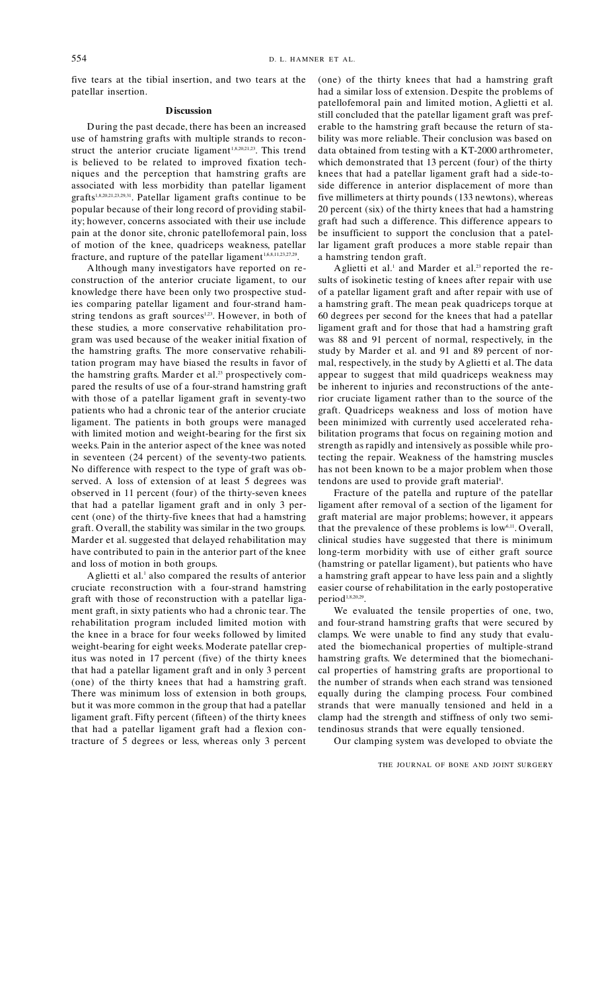five tears at the tibial insertion, and two tears at the patellar insertion.

## **Discussion**

During the past decade, there has been an increased use of hamstring grafts with multiple strands to reconstruct the anterior cruciate ligament<sup>1,8,20,21,23</sup>. This trend is believed to be related to improved fixation techniques and the perception that hamstring grafts are associated with less morbidity than patellar ligament grafts<sup>1,8,20,21,23,29,31</sup>. Patellar ligament grafts continue to be popular because of their long record of providing stability; however, concerns associated with their use include pain at the donor site, chronic patellofemoral pain, loss of motion of the knee, quadriceps weakness, patellar fracture, and rupture of the patellar ligament<sup>1,6,8,11,23,27,29</sup>.

Although many investigators have reported on reconstruction of the anterior cruciate ligament, to our knowledge there have been only two prospective studies comparing patellar ligament and four-strand hamstring tendons as graft sources<sup>1,23</sup>. However, in both of these studies, a more conservative rehabilitation program was used because of the weaker initial fixation of the hamstring grafts. The more conservative rehabilitation program may have biased the results in favor of the hamstring grafts. Marder et al.<sup>23</sup> prospectively compared the results of use of a four-strand hamstring graft with those of a patellar ligament graft in seventy-two patients who had a chronic tear of the anterior cruciate ligament. The patients in both groups were managed with limited motion and weight-bearing for the first six weeks. Pain in the anterior aspect of the knee was noted in seventeen (24 percent) of the seventy-two patients. No difference with respect to the type of graft was observed. A loss of extension of at least 5 degrees was observed in 11 percent (four) of the thirty-seven knees that had a patellar ligament graft and in only 3 percent (one) of the thirty-five knees that had a hamstring graft. Overall, the stability was similar in the two groups. Marder et al. suggested that delayed rehabilitation may have contributed to pain in the anterior part of the knee and loss of motion in both groups.

A glietti et al.<sup>1</sup> also compared the results of anterior cruciate reconstruction with a four-strand hamstring eraft with those of reconstruction with a patellar ligament graft, in sixty patients who had a chronic tear. The rehabilitation program included limited motion with the knee in a brace for four weeks followed by limited weight-bearing for eight weeks. Moderate patellar crepitus was noted in 17 percent (five) of the thirty knees that had a patellar ligament graft and in only 3 percent (one) of the thirty knees that had a hamstring graft. There was minimum loss of extension in both groups, but it was more common in the group that had a patellar ligament graft. Fifty percent (fifteen) of the thirty knees that had a patellar ligament graft had a flexion contracture of 5 degrees or less, whereas only 3 percent (one) of the thirty knees that had a hamstring graft had a similar loss of extension. Despite the problems of patellofemoral pain and limited motion, Aglietti et al. still concluded that the patellar ligament graft was preferable to the hamstring graft because the return of stability was more reliable. Their conclusion was based on data obtained from testing with a KT-2000 arthrometer, which demonstrated that 13 percent (four) of the thirty knees that had a patellar ligament graft had a side-toside difference in anterior displacement of more than five millimeters at thirty pounds (133 newtons), whereas 20 percent (six) of the thirty knees that had a hamstring graft had such a difference. This difference appears to be insufficient to support the conclusion that a patellar ligament graft produces a more stable repair than a hamstring tendon graft.

A glietti et al.<sup>1</sup> and Marder et al.<sup>23</sup> reported the results of isokinetic testing of knees after repair with use of a patellar ligament graft and after repair with use of a hamstring graft. The mean peak quadriceps torque at 60 degrees per second for the knees that had a patellar ligament graft and for those that had a hamstring graft was 88 and 91 percent of normal, respectively, in the study by Marder et al. and 91 and 89 percent of normal, respectively, in the study by Aglietti et al. The data appear to suggest that mild quadriceps weakness may be inherent to injuries and reconstructions of the anterior cruciate ligament rather than to the source of the graft. Quadriceps weakness and loss of motion have been minimized with currently used accelerated rehabilitation programs that focus on regaining motion and strength as rapidly and intensively as possible while protecting the repair. Weakness of the hamstring muscles has not been known to be a major problem when those tendons are used to provide graft material<sup>8</sup>.

Fracture of the patella and rupture of the patellar ligament after removal of a section of the ligament for graft material are major problems; however, it appears that the prevalence of these problems is low<sup>6,11</sup>. Overall, clinical studies have suggested that there is minimum long-term morbidity with use of either graft source (hamstring or patellar ligament), but patients who have a hamstring graft appear to have less pain and a slightly easier course of rehabilitation in the early postoperative period<sup>1,8,20,29</sup>.

We evaluated the tensile properties of one, two, and four-strand hamstring grafts that were secured by clamps. We were unable to find any study that evaluated the biomechanical properties of multiple-strand hamstring grafts. We determined that the biomechanical properties of hamstring grafts are proportional to the number of strands when each strand was tensioned equally during the clamping process. Four combined strands that were manually tensioned and held in a clamp had the strength and stiffness of only two semitendinosus strands that were equally tensioned.

Our clamping system was developed to obviate the

## THE JOURNAL OF BONE AND JOINT SURGERY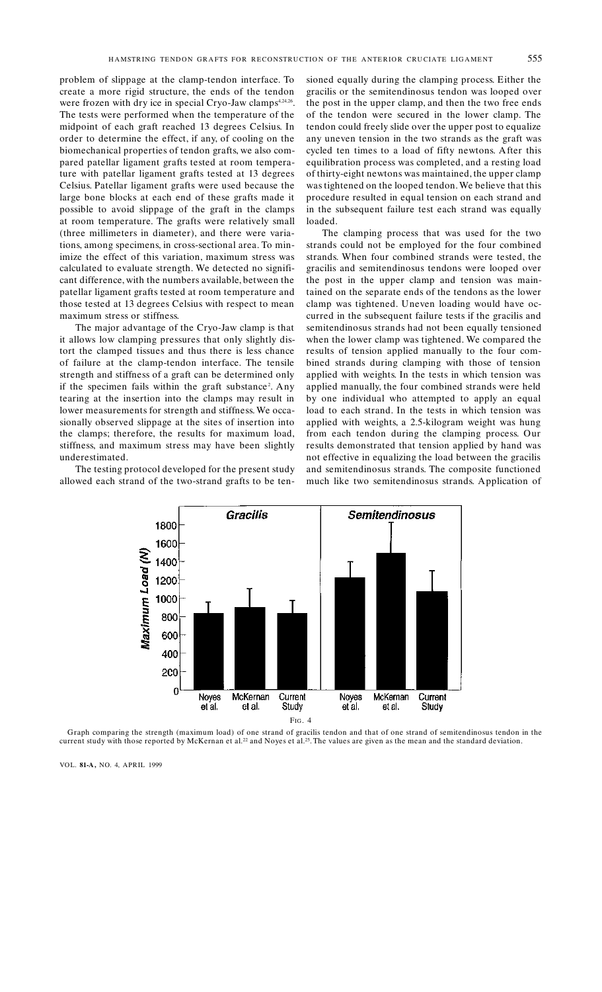problem of slippage at the clamp-tendon interface. To create a more rigid structure, the ends of the tendon were frozen with dry ice in special Cryo-Jaw clamps<sup>4,24,26</sup>. The tests were performed when the temperature of the midpoint of each graft reached 13 degrees Celsius. In order to determine the effect, if any, of cooling on the biomechanical properties of tendon grafts, we also compared patellar ligament grafts tested at room temperature with patellar ligament grafts tested at 13 degrees Celsius. Patellar ligament grafts were used because the large bone blocks at each end of these grafts made it possible to avoid slippage of the graft in the clamps at room temperature. The grafts were relatively small (three millimeters in diameter), and there were variations, among specimens, in cross-sectional area. To minimize the effect of this variation, maximum stress was calculated to evaluate strength. We detected no significant difference, with the numbers available, between the patellar ligament grafts tested at room temperature and those tested at 13 degrees Celsius with respect to mean maximum stress or stiffness.

The major advantage of the Cryo-Jaw clamp is that it allows low clamping pressures that only slightly distort the clamped tissues and thus there is less chance of failure at the clamp-tendon interface. The tensile strength and stiffness of a graft can be determined only if the specimen fails within the graft substance<sup>2</sup>. Any tearing at the insertion into the clamps may result in lower measurements for strength and stiffness. We occasionally observed slippage at the sites of insertion into the clamps; therefore, the results for maximum load, stiffness, and maximum stress may have been slightly underestimated.

The testing protocol developed for the present study allowed each strand of the two-strand grafts to be tensioned equally during the clamping process. Either the gracilis or the semitendinosus tendon was looped over the post in the upper clamp, and then the two free ends of the tendon were secured in the lower clamp. The tendon could freely slide over the upper post to equalize any uneven tension in the two strands as the graft was cycled ten times to a load of fifty newtons. After this equilibration process was completed, and a resting load of thirty-eight newtons was maintained, the upper clamp was tightened on the looped tendon. We believe that this procedure resulted in equal tension on each strand and in the subsequent failure test each strand was equally loaded.

The clamping process that was used for the two strands could not be employed for the four combined strands. When four combined strands were tested, the gracilis and semitendinosus tendons were looped over the post in the upper clamp and tension was maintained on the separate ends of the tendons as the lower clamp was tightened. Uneven loading would have occurred in the subsequent failure tests if the gracilis and semitendinosus strands had not been equally tensioned when the lower clamp was tightened. We compared the results of tension applied manually to the four combined strands during clamping with those of tension applied with weights. In the tests in which tension was applied manually, the four combined strands were held by one individual who attempted to apply an equal load to each strand. In the tests in which tension was applied with weights, a 2.5-kilogram weight was hung from each tendon during the clamping process. Our results demonstrated that tension applied by hand was not effective in equalizing the load between the gracilis and semitendinosus strands. The composite functioned much like two semitendinosus strands. Application of



Graph comparing the strength (maximum load) of one strand of gracilis tendon and that of one strand of semitendinosus tendon in the current study with those reported by McKernan et al.<sup>22</sup> and Noyes et al.<sup>25</sup>. The values

VOL. 81-A, NO. 4, APRIL 1999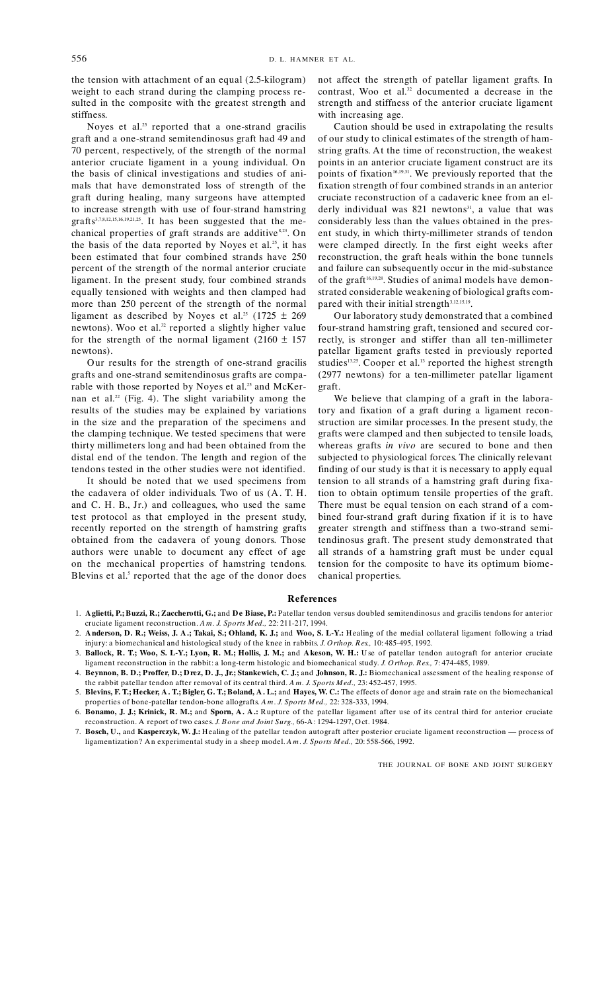the tension with attachment of an equal (2.5-kilogram) weight to each strand during the clamping process resulted in the composite with the greatest strength and stiffness.

Noves et al.<sup>25</sup> reported that a one-strand gracilis graft and a one-strand semitendinosus graft had 49 and 70 percent, respectively, of the strength of the normal anterior cruciate ligament in a young individual. On the basis of clinical investigations and studies of animals that have demonstrated loss of strength of the graft during healing, many surgeons have attempted to increase strength with use of four-strand hamstring grafts<sup>3,7,8,12,15,16,19,21,25</sup>. It has been suggested that the mechanical properties of graft strands are additive<sup>8,23</sup>. On the basis of the data reported by Noyes et al.<sup>25</sup>, it has been estimated that four combined strands have 250 percent of the strength of the normal anterior cruciate ligament. In the present study, four combined strands equally tensioned with weights and then clamped had more than 250 percent of the strength of the normal ligament as described by Noyes et al.<sup>25</sup> (1725  $\pm$  269 newtons). Woo et al.<sup>32</sup> reported a slightly higher value for the strength of the normal ligament (2160  $\pm$  157 newtons).

Our results for the strength of one-strand gracilis grafts and one-strand semitendinosus grafts are comparable with those reported by Noyes et al.<sup>25</sup> and McKernan et al.<sup>22</sup> (Fig. 4). The slight variability among the results of the studies may be explained by variations in the size and the preparation of the specimens and the clamping technique. We tested specimens that were thirty millimeters long and had been obtained from the distal end of the tendon. The length and region of the tendons tested in the other studies were not identified.

It should be noted that we used specimens from the cadavera of older individuals. Two of us (A. T. H. and C. H. B., Jr.) and colleagues, who used the same test protocol as that employed in the present study, recently reported on the strength of hamstring grafts obtained from the cadavera of young donors. Those authors were unable to document any effect of age on the mechanical properties of hamstring tendons. Blevins et al.<sup>5</sup> reported that the age of the donor does not affect the strength of patellar ligament grafts. In contrast, Woo et al.<sup>32</sup> documented a decrease in the strength and stiffness of the anterior cruciate ligament with increasing age.

Caution should be used in extrapolating the results of our study to clinical estimates of the strength of hamstring grafts. At the time of reconstruction, the weakest points in an anterior cruciate ligament construct are its points of fixation<sup>16,19,31</sup>. We previously reported that the fixation strength of four combined strands in an anterior cruciate reconstruction of a cadaveric knee from an elderly individual was 821 newtons<sup>31</sup>, a value that was considerably less than the values obtained in the present study, in which thirty-millimeter strands of tendon were clamped directly. In the first eight weeks after reconstruction, the graft heals within the bone tunnels and failure can subsequently occur in the mid-substance of the graft<sup>16,19,28</sup>. Studies of animal models have demonstrated considerable weakening of biological grafts compared with their initial strength<sup>3,12,15,19</sup>.

Our laboratory study demonstrated that a combined four-strand hamstring graft, tensioned and secured correctly, is stronger and stiffer than all ten-millimeter patellar ligament grafts tested in previously reported studies<sup>13,25</sup>. Cooper et al.<sup>13</sup> reported the highest strength (2977 newtons) for a ten-millimeter patellar ligament graft.

We believe that clamping of a graft in the laboratory and fixation of a graft during a ligament reconstruction are similar processes. In the present study, the grafts were clamped and then subjected to tensile loads, whereas grafts in vivo are secured to bone and then subjected to physiological forces. The clinically relevant finding of our study is that it is necessary to apply equal tension to all strands of a hamstring graft during fixation to obtain optimum tensile properties of the graft. There must be equal tension on each strand of a combined four-strand graft during fixation if it is to have greater strength and stiffness than a two-strand semitendinosus graft. The present study demonstrated that all strands of a hamstring graft must be under equal tension for the composite to have its optimum biomechanical properties.

#### References

- 1. Aglietti, P.; Buzzi, R.; Zaccherotti, G.; and De Biase, P.: Patellar tendon versus doubled semitendinosus and gracilis tendons for anterior cruciate ligament reconstruction. Am. J. Sports Med., 22:211-217, 1994.
- 2. Anderson, D. R.; Weiss, J. A.; Takai, S.; Ohland, K. J.; and Woo, S. L-Y.: Healing of the medial collateral ligament following a triad injury: a biomechanical and histological study of the knee in rabbits. J. Orthop. Res., 10:485-495, 1992.
- 3. Ballock, R. T.; Woo, S. L-Y.; Lyon, R. M.; Hollis, J. M.; and Akeson, W. H.: Use of patellar tendon autograft for anterior cruciate ligament reconstruction in the rabbit: a long-term histologic and biomechanical study. J. Orthop. Res., 7: 474-485, 1989.
- 4. Beynnon, B. D.; Proffer, D.; Drez, D. J., Jr.; Stankewich, C. J.; and Johnson, R. J.: Biomechanical assessment of the healing response of the rabbit patellar tendon after removal of its central third.  $Am. J.$  Sports Med., 23: 452-457, 1995.
- 5. Blevins, F. T.; Hecker, A. T.; Bigler, G. T.; Boland, A. L.; and Hayes, W. C.: The effects of donor age and strain rate on the biomechanical properties of bone-patellar tendon-bone allografts. Am. J. Sports Med., 22:328-333, 1994.
- 6. Bonamo, J. J.; Krinick, R. M.; and Sporn, A. A.: Rupture of the patellar ligament after use of its central third for anterior cruciate reconstruction. A report of two cases. J. Bone and Joint Surg., 66-A: 1294-1297, Oct. 1984.
- 7. Bosch, U., and Kasperczyk, W. J.: Healing of the patellar tendon autograft after posterior cruciate ligament reconstruction process of ligamentization? An experimental study in a sheep model. Am. J. Sports Med., 20: 558-566, 1992.